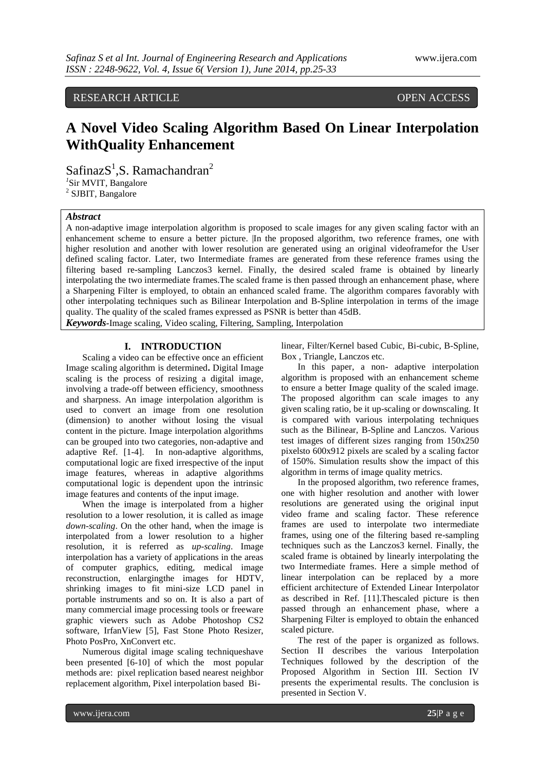RESEARCH ARTICLE OPEN ACCESS

# **A Novel Video Scaling Algorithm Based On Linear Interpolation WithQuality Enhancement**

 $SafinazS<sup>1</sup>, S. Ramachandran<sup>2</sup>$ *1* Sir MVIT, Bangalore 2 SJBIT, Bangalore

## *Abstract*

A non-adaptive image interpolation algorithm is proposed to scale images for any given scaling factor with an enhancement scheme to ensure a better picture. In the proposed algorithm, two reference frames, one with higher resolution and another with lower resolution are generated using an original videoframefor the User defined scaling factor. Later, two Intermediate frames are generated from these reference frames using the filtering based re-sampling Lanczos3 kernel. Finally, the desired scaled frame is obtained by linearly interpolating the two intermediate frames.The scaled frame is then passed through an enhancement phase, where a Sharpening Filter is employed, to obtain an enhanced scaled frame. The algorithm compares favorably with other interpolating techniques such as Bilinear Interpolation and B-Spline interpolation in terms of the image quality. The quality of the scaled frames expressed as PSNR is better than 45dB.

*Keywords-*Image scaling, Video scaling, Filtering, Sampling, Interpolation

## **I. INTRODUCTION**

Scaling a video can be effective once an efficient Image scaling algorithm is determined**.** Digital Image scaling is the process of resizing a digital image, involving a trade-off between efficiency, smoothness and sharpness. An image interpolation algorithm is used to convert an image from one resolution (dimension) to another without losing the visual content in the picture. Image interpolation algorithms can be grouped into two categories, non-adaptive and adaptive Ref. [1-4]. In non-adaptive algorithms, computational logic are fixed irrespective of the input image features, whereas in adaptive algorithms computational logic is dependent upon the intrinsic image features and contents of the input image.

When the image is interpolated from a higher resolution to a lower resolution, it is called as image *down-scaling*. On the other hand, when the image is interpolated from a lower resolution to a higher resolution, it is referred as *up-scaling*. Image interpolation has a variety of applications in the areas of computer graphics, editing, medical image reconstruction, enlargingthe images for HDTV, shrinking images to fit mini-size LCD panel in portable instruments and so on. It is also a part of many commercial image processing tools or freeware graphic viewers such as Adobe Photoshop CS2 software, IrfanView [5], Fast Stone Photo Resizer, Photo PosPro, XnConvert etc.

Numerous digital image scaling techniqueshave been presented [6-10] of which the most popular methods are: pixel replication based nearest neighbor replacement algorithm, Pixel interpolation based Bilinear, Filter/Kernel based Cubic, Bi-cubic, B-Spline, Box , Triangle, Lanczos etc.

In this paper, a non- adaptive interpolation algorithm is proposed with an enhancement scheme to ensure a better Image quality of the scaled image. The proposed algorithm can scale images to any given scaling ratio, be it up-scaling or downscaling. It is compared with various interpolating techniques such as the Bilinear, B-Spline and Lanczos. Various test images of different sizes ranging from 150x250 pixelsto 600x912 pixels are scaled by a scaling factor of 150%. Simulation results show the impact of this algorithm in terms of image quality metrics.

In the proposed algorithm, two reference frames, one with higher resolution and another with lower resolutions are generated using the original input video frame and scaling factor. These reference frames are used to interpolate two intermediate frames, using one of the filtering based re-sampling techniques such as the Lanczos3 kernel. Finally, the scaled frame is obtained by linearly interpolating the two Intermediate frames. Here a simple method of linear interpolation can be replaced by a more efficient architecture of Extended Linear Interpolator as described in Ref. [11].Thescaled picture is then passed through an enhancement phase, where a Sharpening Filter is employed to obtain the enhanced scaled picture.

The rest of the paper is organized as follows. Section II describes the various Interpolation Techniques followed by the description of the Proposed Algorithm in Section III. Section IV presents the experimental results. The conclusion is presented in Section V.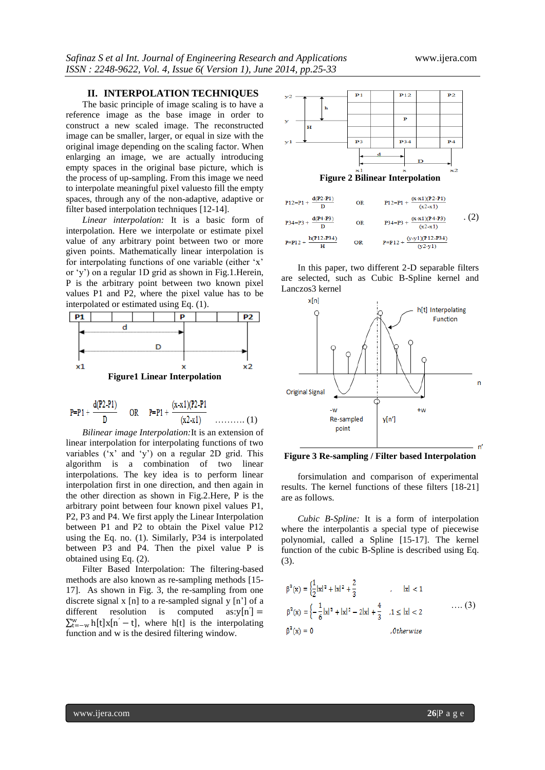## **II. INTERPOLATION TECHNIQUES**

The basic principle of image scaling is to have a reference image as the base image in order to construct a new scaled image. The reconstructed image can be smaller, larger, or equal in size with the original image depending on the scaling factor. When enlarging an image, we are actually introducing empty spaces in the original base picture, which is the process of up-sampling. From this image we need to interpolate meaningful pixel valuesto fill the empty spaces, through any of the non-adaptive, adaptive or filter based interpolation techniques [12-14].

*Linear interpolation:* It is a basic form of interpolation. Here we interpolate or estimate pixel value of any arbitrary point between two or more given points. Mathematically linear interpolation is for interpolating functions of one variable (either 'x' or "y") on a regular 1D grid as shown in Fig.1.Herein, P is the arbitrary point between two known pixel values P1 and P2, where the pixel value has to be interpolated or estimated using Eq. (1).



$$
P = P1 + \frac{d(P2 - P1)}{D} \qquad \text{OR} \qquad P = P1 + \frac{(x - x1)(P2 - P1)}{(x2 - x1)} \qquad \qquad (1)
$$

*Bilinear image Interpolation:*It is an extension of linear interpolation for interpolating functions of two variables ('x' and 'y') on a regular 2D grid. This algorithm is a combination of two linear interpolations. The key idea is to perform linear interpolation first in one direction, and then again in the other direction as shown in Fig.2.Here, P is the arbitrary point between four known pixel values P1, P2, P3 and P4. We first apply the Linear Interpolation between P1 and P2 to obtain the Pixel value P12 using the Eq. no. (1). Similarly, P34 is interpolated between P3 and P4. Then the pixel value P is obtained using Eq. (2).

Filter Based Interpolation: The filtering-based methods are also known as re-sampling methods [15- 17]. As shown in Fig. 3, the re-sampling from one discrete signal x [n] to a re-sampled signal y  $[n']$  of a different resolution is computed  $\dot{\mathbf{I}}$  =  $\sum_{t=-w}^{w} h[t]x[n'-t]$ , where h[t] is the interpolating function and w is the desired filtering window.



| $P12 = P1 + \frac{d(P2 - P1)}{D}$  | <b>OR</b> | $P12 = P1 + \frac{(x-x1)(P2 - P1)}{(x2-x1)}$ |     |
|------------------------------------|-----------|----------------------------------------------|-----|
| $P34 = P3 + \frac{d(P4 - P3)}{D}$  | <b>OR</b> | $P34=P3 + \frac{(x-x1)(P4-P3)}{(x2-x1)}$     | (2) |
| $P = P12 + \frac{h(P12 - P34)}{H}$ | OR        | $P = P12 + \frac{(y-y1)(P12-P34)}{(y2-y1)}$  |     |

In this paper, two different 2-D separable filters are selected, such as Cubic B-Spline kernel and Lanczos3 kernel



**Figure 3 Re-sampling / Filter based Interpolation**

forsimulation and comparison of experimental results. The kernel functions of these filters [18-21] are as follows.

*Cubic B-Spline:* It is a form of interpolation where the interpolantis a special type of piecewise polynomial, called a Spline [15-17]. The kernel function of the cubic B-Spline is described using Eq. (3).

$$
\beta^{2}(x) = \left\{\frac{1}{2}|x|^{3} + |x|^{2} + \frac{2}{3} \right\} , \quad |x| < 1
$$
  

$$
\beta^{3}(x) = \left\{-\frac{1}{6}|x|^{3} + |x|^{2} - 2|x| + \frac{4}{3} \right\} , 1 \le |x| < 2
$$
 ... (3)  

$$
\beta^{3}(x) = 0 \qquad .0 \text{otherwise}
$$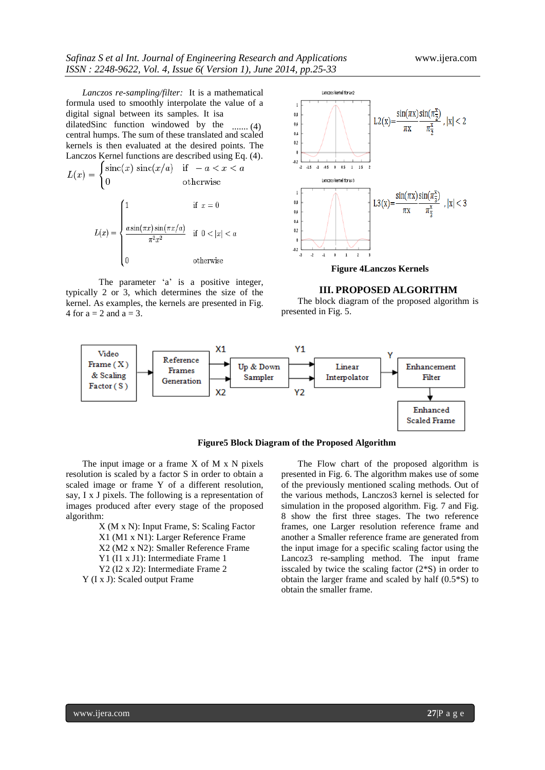*Lanczos re-sampling/filter:* It is a mathematical formula used to smoothly interpolate the value of a digital signal between its samples. It isa dilatedSinc function windowed by the ....... (4)central humps. The sum of these translated and scaled kernels is then evaluated at the desired points. The Lanczos Kernel functions are described using Eq. (4).

$$
L(x) = \begin{cases} \text{sinc}(x) \, \text{sinc}(x/a) & \text{if } -a < x < a \\ 0 & \text{otherwise} \end{cases}
$$
\n
$$
L(x) = \begin{cases} 1 & \text{if } x = 0 \\ \frac{a \sin(\pi x) \sin(\pi x/a)}{\pi^2 x^2} & \text{if } 0 < |x| < a \\ 0 & \text{otherwise} \end{cases}
$$

The parameter 'a' is a positive integer, typically 2 or 3, which determines the size of the kernel. As examples, the kernels are presented in Fig. 4 for  $a = 2$  and  $a = 3$ .



**Figure 4Lanczos Kernels**

#### **III. PROPOSED ALGORITHM**

The block diagram of the proposed algorithm is presented in Fig. 5.



**Figure5 Block Diagram of the Proposed Algorithm**

The input image or a frame  $X$  of  $M \times N$  pixels resolution is scaled by a factor S in order to obtain a scaled image or frame Y of a different resolution, say, I x J pixels. The following is a representation of images produced after every stage of the proposed algorithm:

X (M x N): Input Frame, S: Scaling Factor X1 (M1 x N1): Larger Reference Frame X2 (M2 x N2): Smaller Reference Frame Y1 (I1 x J1): Intermediate Frame 1 Y2 (I2 x J2): Intermediate Frame 2 Y (I x J): Scaled output Frame

The Flow chart of the proposed algorithm is presented in Fig. 6. The algorithm makes use of some of the previously mentioned scaling methods. Out of the various methods, Lanczos3 kernel is selected for simulation in the proposed algorithm. Fig. 7 and Fig. 8 show the first three stages. The two reference frames, one Larger resolution reference frame and another a Smaller reference frame are generated from the input image for a specific scaling factor using the Lancoz3 re-sampling method. The input frame isscaled by twice the scaling factor (2\*S) in order to obtain the larger frame and scaled by half (0.5\*S) to obtain the smaller frame.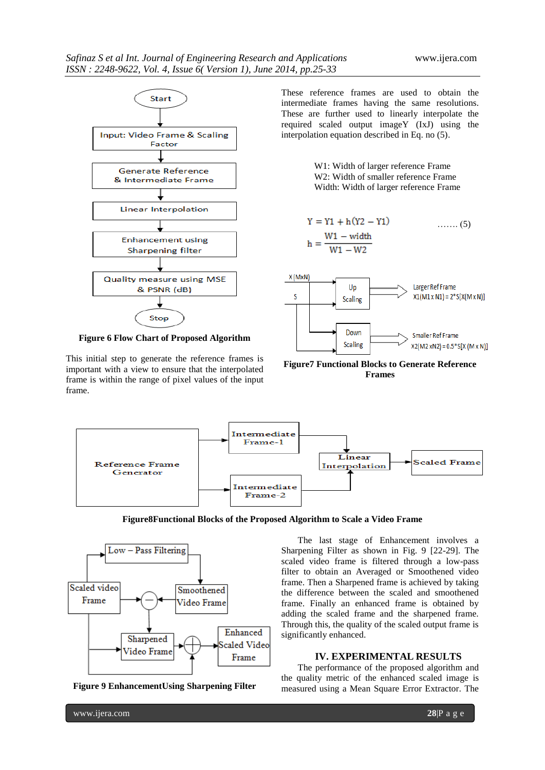

**Figure 6 Flow Chart of Proposed Algorithm**

This initial step to generate the reference frames is important with a view to ensure that the interpolated frame is within the range of pixel values of the input frame.

These reference frames are used to obtain the intermediate frames having the same resolutions. These are further used to linearly interpolate the required scaled output imageY (IxJ) using the interpolation equation described in Eq. no (5).

> W1: Width of larger reference Frame W2: Width of smaller reference Frame Width: Width of larger reference Frame

$$
Y = Y1 + h(Y2 - Y1)
$$
 ...... (5)  

$$
h = \frac{W1 - width}{W1 - W2}
$$



**Figure7 Functional Blocks to Generate Reference Frames**



**Figure8Functional Blocks of the Proposed Algorithm to Scale a Video Frame**



**Figure 9 EnhancementUsing Sharpening Filter**

The last stage of Enhancement involves a Sharpening Filter as shown in Fig. 9 [22-29]. The scaled video frame is filtered through a low-pass filter to obtain an Averaged or Smoothened video frame. Then a Sharpened frame is achieved by taking the difference between the scaled and smoothened frame. Finally an enhanced frame is obtained by adding the scaled frame and the sharpened frame. Through this, the quality of the scaled output frame is significantly enhanced.

## **IV. EXPERIMENTAL RESULTS**

The performance of the proposed algorithm and the quality metric of the enhanced scaled image is measured using a Mean Square Error Extractor. The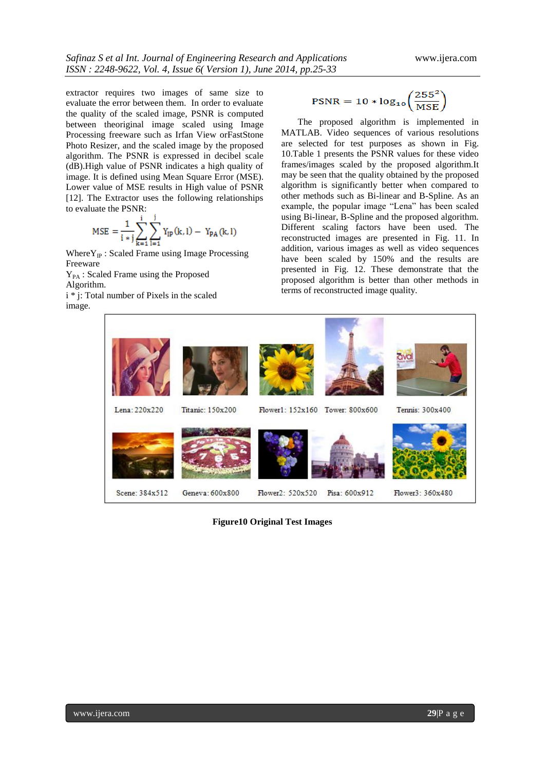extractor requires two images of same size to evaluate the error between them. In order to evaluate the quality of the scaled image, PSNR is computed between theoriginal image scaled using Image Processing freeware such as Irfan View orFastStone Photo Resizer, and the scaled image by the proposed algorithm. The PSNR is expressed in decibel scale (dB).High value of PSNR indicates a high quality of image. It is defined using Mean Square Error (MSE). Lower value of MSE results in High value of PSNR [12]. The Extractor uses the following relationships to evaluate the PSNR:

$$
MSE = \frac{1}{i * j} \sum_{k=1}^{i} \sum_{l=1}^{j} Y_{lp}(k, l) - Y_{PA}(k, l)
$$

Where  $Y_{IP}$ : Scaled Frame using Image Processing Freeware

Y<sub>PA</sub>: Scaled Frame using the Proposed Algorithm.

i \* j: Total number of Pixels in the scaled image.

$$
PSNR = 10 * log_{10}\left(\frac{255^2}{MSE}\right)
$$

The proposed algorithm is implemented in MATLAB. Video sequences of various resolutions are selected for test purposes as shown in Fig. 10.Table 1 presents the PSNR values for these video frames/images scaled by the proposed algorithm.It may be seen that the quality obtained by the proposed algorithm is significantly better when compared to other methods such as Bi-linear and B-Spline. As an example, the popular image "Lena" has been scaled using Bi-linear, B-Spline and the proposed algorithm. Different scaling factors have been used. The reconstructed images are presented in Fig. 11. In addition, various images as well as video sequences have been scaled by 150% and the results are presented in Fig. 12. These demonstrate that the proposed algorithm is better than other methods in terms of reconstructed image quality.



**Figure10 Original Test Images**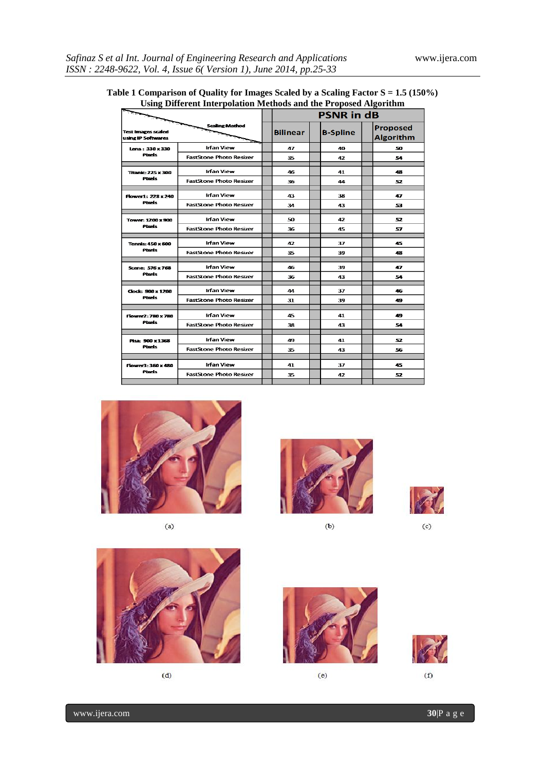|                                                 |                                | ------------<br><b>PSNR in dB</b> |                 |                                     |  |
|-------------------------------------------------|--------------------------------|-----------------------------------|-----------------|-------------------------------------|--|
| <b>Test Images scaled</b><br>using IP Softwares | <b>Scaling Mathod</b>          | <b>Bilinear</b>                   | <b>B-Spline</b> | <b>Proposed</b><br><b>Algorithm</b> |  |
| Lena: 330 x 330<br><b>Pixels</b>                | <b>Irfan View</b>              | 47                                | 40              | 50                                  |  |
|                                                 | <b>FastStone Photo Resizer</b> | 35                                | 47              | 54                                  |  |
| <b>Titanic: 225 x 300</b><br><b>Pixels</b>      | <b>Irfan View</b>              | 46                                | 41              | 48                                  |  |
|                                                 | <b>FastStone Photo Resizer</b> | 36                                | 44              | 52                                  |  |
| Flower1: 228 x 240<br><b>Pixels</b>             | <b>Irfan View</b>              | 43                                | 38              | 47                                  |  |
|                                                 | <b>FastStone Photo Resizer</b> | 34                                | 43              | 53                                  |  |
| Tower: 1200 x 900<br><b>Pixels</b>              | <b>Irfan View</b>              | 50                                | 47              | 52                                  |  |
|                                                 | <b>FastStone Photo Resizer</b> | 36                                | 45              | 57                                  |  |
| <b>Tennis: 450 x 600</b><br><b>Pixels</b>       | <b>Irfan View</b>              | 42                                | 37              | 45                                  |  |
|                                                 | <b>FastStone Photo Resizer</b> | 35.                               | 39              | 48                                  |  |
| Scene: 576 x 768<br><b>Pixels</b>               | <b>Irfan View</b>              | 46                                | 39              | 47                                  |  |
|                                                 | <b>FastStone Photo Resizer</b> | 36                                | 43              | 54                                  |  |
| Clock: 900 x 1200<br><b>Phrefs</b>              | <b>Irfan View</b>              | 44                                | 37              | 46                                  |  |
|                                                 | <b>FastStone Photo Resizer</b> | 31                                | 39              | 49                                  |  |
| Flower2: 780 x 780<br><b>Pixels</b>             | <b>Irfan View</b>              | 45                                | 41.             | 49                                  |  |
|                                                 | <b>FastStone Photo Resizer</b> | 38                                | 43              | 54                                  |  |
| Pisa: 900 x 1368<br><b>Phreis</b>               | <b>Irfan View</b>              | 49                                | 41              | 52                                  |  |
|                                                 | <b>FastStone Photo Resizer</b> | 35                                | 43              | 56                                  |  |
|                                                 |                                |                                   |                 |                                     |  |
| Flower3: 360 x 480<br><b>Pixels</b>             | <b>Irfan View</b>              | 41                                | 37              | 45                                  |  |
|                                                 | <b>FastStone Photo Resizer</b> | 35                                | 47              | 52                                  |  |

## **Table 1 Comparison of Quality for Images Scaled by a Scaling Factor S = 1.5 (150%) Using Different Interpolation Methods and the Proposed Algorithm**



 $(a)$ 



 $(b)$ 

 $(c)$ 





 $(e)$ 



 $\overline{f}$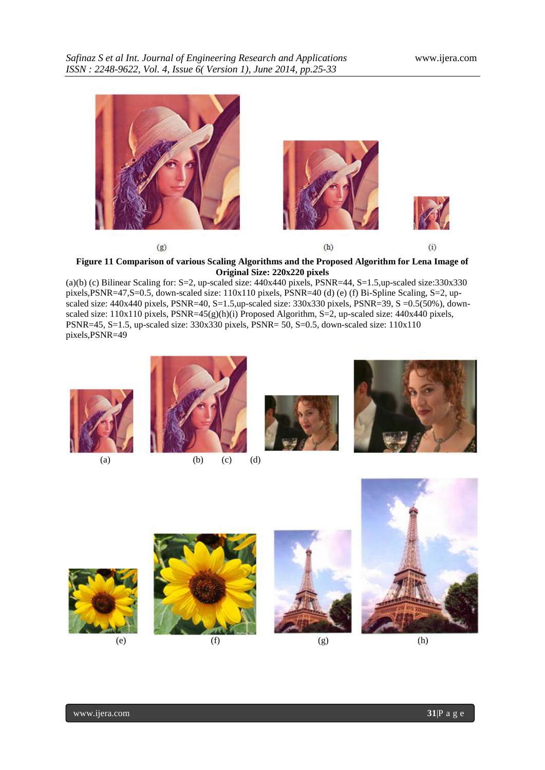

**Figure 11 Comparison of various Scaling Algorithms and the Proposed Algorithm for Lena Image of Original Size: 220x220 pixels**

(a)(b) (c) Bilinear Scaling for: S=2, up-scaled size: 440x440 pixels, PSNR=44, S=1.5,up-scaled size:330x330 pixels,PSNR=47,S=0.5, down-scaled size: 110x110 pixels, PSNR=40 (d) (e) (f) Bi-Spline Scaling, S=2, upscaled size: 440x440 pixels, PSNR=40, S=1.5,up-scaled size: 330x330 pixels, PSNR=39, S =0.5(50%), downscaled size:  $110x110$  pixels, PSNR=45(g)(h)(i) Proposed Algorithm, S=2, up-scaled size: 440x440 pixels, PSNR=45, S=1.5, up-scaled size: 330x330 pixels, PSNR= 50, S=0.5, down-scaled size: 110x110 pixels,PSNR=49









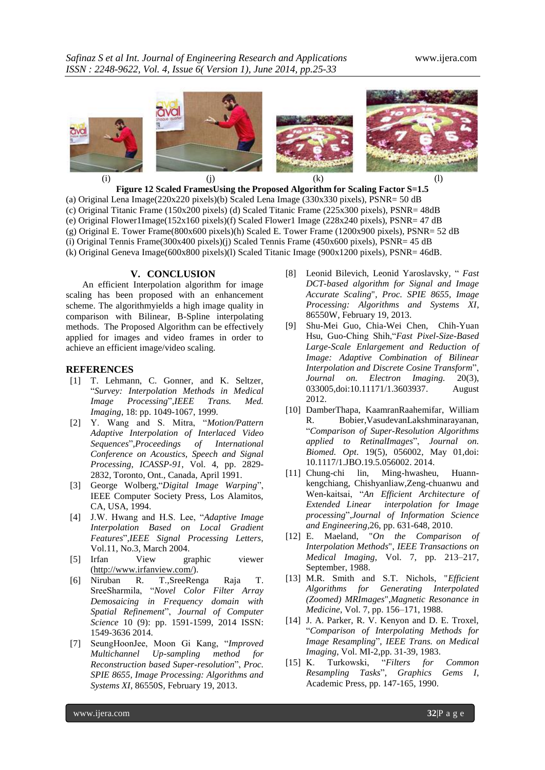

**Figure 12 Scaled FramesUsing the Proposed Algorithm for Scaling Factor S=1.5** (a) Original Lena Image(220x220 pixels)(b) Scaled Lena Image (330x330 pixels), PSNR= 50 dB (c) Original Titanic Frame (150x200 pixels) (d) Scaled Titanic Frame (225x300 pixels), PSNR= 48dB (e) Original Flower1Image(152x160 pixels)(f) Scaled Flower1 Image (228x240 pixels), PSNR= 47 dB (g) Original E. Tower Frame(800x600 pixels)(h) Scaled E. Tower Frame (1200x900 pixels), PSNR= 52 dB (i) Original Tennis Frame(300x400 pixels)(j) Scaled Tennis Frame (450x600 pixels), PSNR= 45 dB (k) Original Geneva Image(600x800 pixels)(l) Scaled Titanic Image (900x1200 pixels), PSNR= 46dB.

## **V. CONCLUSION**

An efficient Interpolation algorithm for image scaling has been proposed with an enhancement scheme. The algorithmyields a high image quality in comparison with Bilinear, B-Spline interpolating methods. The Proposed Algorithm can be effectively applied for images and video frames in order to achieve an efficient image/video scaling.

## **REFERENCES**

- [1] T. Lehmann, C. Gonner, and K. Seltzer, "*Survey: Interpolation Methods in Medical Image Processing*",*IEEE Trans. Med. Imaging*, 18: pp. 1049-1067, 1999.
- [2] Y. Wang and S. Mitra, "*Motion/Pattern Adaptive Interpolation of Interlaced Video Sequences*",*Proceedings of International Conference on Acoustics, Speech and Signal Processing*, *ICASSP-91*, Vol. 4, pp. 2829- 2832, Toronto, Ont., Canada, April 1991.
- [3] George Wolberg,"*Digital Image Warping*", IEEE Computer Society Press, Los Alamitos, CA, USA, 1994.
- [4] J.W. Hwang and H.S. Lee, "*Adaptive Image Interpolation Based on Local Gradient Features*",*IEEE Signal Processing Letters*, Vol.11, No.3, March 2004.
- [5] Irfan View graphic viewer [\(http://www.irfanview.com/\)](http://www.irfanview.com/).
- [6] Niruban R. T.,SreeRenga Raja T. SreeSharmila, "*Novel Color Filter Array Demosaicing in Frequency domain with Spatial Refinement*", *Journal of Computer Science* 10 (9): pp. 1591-1599, 2014 ISSN: 1549-3636 2014.
- [7] SeungHoonJee, Moon Gi Kang, "*Improved Multichannel Up-sampling method for Reconstruction based Super-resolution*", *Proc. SPIE 8655, Image Processing: Algorithms and Systems XI*, 86550S, February 19, 2013.
- [8] Leonid Bilevich, Leonid Yaroslavsky, " *Fast DCT-based algorithm for Signal and Image Accurate Scaling*", *Proc. SPIE 8655, Image Processing: Algorithms and Systems XI*, 86550W, February 19, 2013.
- [9] Shu-Mei Guo, Chia-Wei Chen, Chih-Yuan Hsu, Guo-Ching Shih,"*Fast Pixel-Size-Based Large-Scale Enlargement and Reduction of Image: Adaptive Combination of Bilinear Interpolation and Discrete Cosine Transform*", *Journal on. Electron Imaging.* 20(3), 033005,doi:10.11171/1.3603937. August 2012.
- [10] DamberThapa, KaamranRaahemifar, William R. Bobier,VasudevanLakshminarayanan, "*Comparison of Super-Resolution Algorithms applied to RetinalImages*", *Journal on. Biomed. Opt*. 19(5), 056002, May 01,doi: 10.1117/1.JBO.19.5.056002. 2014.
- [11] Chung-chi lin, Ming-hwasheu, Huannkengchiang, Chishyanliaw,Zeng-chuanwu and Wen-kaitsai, "*An Efficient Architecture of Extended Linear interpolation for Image processing*",*Journal of Information Science and Engineering,*26, pp. 631-648, 2010.
- [12] E. Maeland, "*On the Comparison of Interpolation Methods*", *IEEE Transactions on Medical Imaging*, Vol. 7, pp. 213–217, September, 1988.
- [13] M.R. Smith and S.T. Nichols, "*Efficient Algorithms for Generating Interpolated (Zoomed) MRImages*",*Magnetic Resonance in Medicine*, Vol. 7, pp. 156–171, 1988.
- [14] J. A. Parker, R. V. Kenyon and D. E. Troxel, "*Comparison of Interpolating Methods for Image Resampling*", *IEEE Trans. on Medical Imaging*, Vol. MI-2,pp. 31-39, 1983.
- [15] K. Turkowski, "*Filters for Common Resampling Tasks*", *Graphics Gems I*, Academic Press, pp. 147-165, 1990.